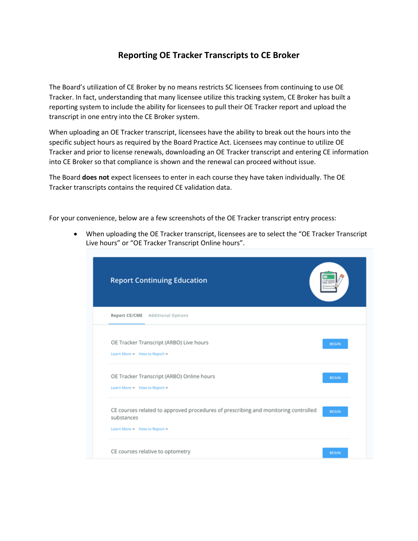## **Reporting OE Tracker Transcripts to CE Broker**

The Board's utilization of CE Broker by no means restricts SC licensees from continuing to use OE Tracker. In fact, understanding that many licensee utilize this tracking system, CE Broker has built a reporting system to include the ability for licensees to pull their OE Tracker report and upload the transcript in one entry into the CE Broker system.

When uploading an OE Tracker transcript, licensees have the ability to break out the hours into the specific subject hours as required by the Board Practice Act. Licensees may continue to utilize OE Tracker and prior to license renewals, downloading an OE Tracker transcript and entering CE information into CE Broker so that compliance is shown and the renewal can proceed without issue.

The Board **does not** expect licensees to enter in each course they have taken individually. The OE Tracker transcripts contains the required CE validation data.

For your convenience, below are a few screenshots of the OE Tracker transcript entry process:

 When uploading the OE Tracker transcript, licensees are to select the "OE Tracker Transcript Live hours" or "OE Tracker Transcript Online hours".

| <b>Report Continuing Education</b>                                                                                                           |  |
|----------------------------------------------------------------------------------------------------------------------------------------------|--|
| Report CE/CME Additional Options                                                                                                             |  |
| OE Tracker Transcript (ARBO) Live hours<br><b>BEGIN</b><br>Learn More > How to Report >                                                      |  |
| OE Tracker Transcript (ARBO) Online hours<br><b>BEGIN</b><br>Learn More > How to Report >                                                    |  |
| CE courses related to approved procedures of prescribing and monitoring controlled<br><b>BEGIN</b><br>substances<br>Learn More How to Report |  |
| CE courses relative to optometry<br><b>BEGIN</b>                                                                                             |  |